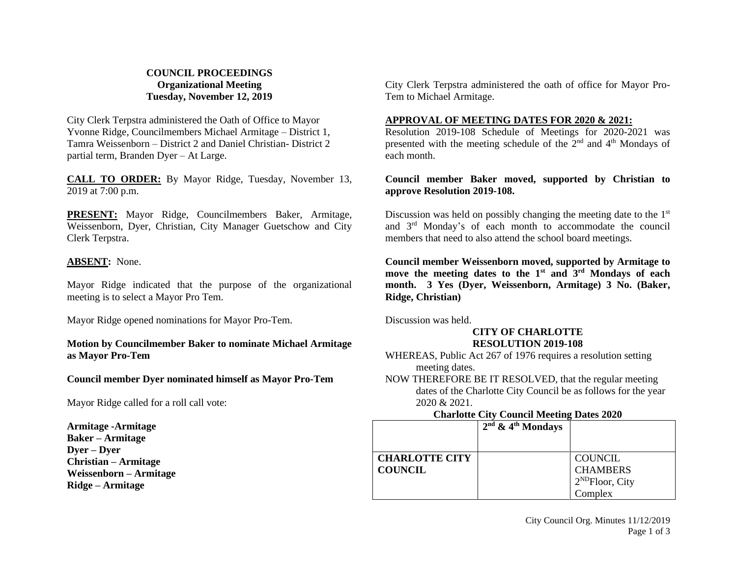# **COUNCIL PROCEEDINGS Organizational Meeting Tuesday, November 12, 2019**

City Clerk Terpstra administered the Oath of Office to Mayor Yvonne Ridge, Councilmembers Michael Armitage – District 1, Tamra Weissenborn – District 2 and Daniel Christian- District 2 partial term, Branden Dyer – At Large.

**CALL TO ORDER:** By Mayor Ridge, Tuesday, November 13, 2019 at 7:00 p.m.

**PRESENT:** Mayor Ridge, Councilmembers Baker, Armitage, Weissenborn, Dyer, Christian, City Manager Guetschow and City Clerk Terpstra.

## **ABSENT:** None.

Mayor Ridge indicated that the purpose of the organizational meeting is to select a Mayor Pro Tem.

Mayor Ridge opened nominations for Mayor Pro-Tem.

## **Motion by Councilmember Baker to nominate Michael Armitage as Mayor Pro-Tem**

## **Council member Dyer nominated himself as Mayor Pro-Tem**

Mayor Ridge called for a roll call vote:

**Armitage -Armitage Baker – Armitage Dyer – Dyer Christian – Armitage Weissenborn – Armitage Ridge – Armitage**

City Clerk Terpstra administered the oath of office for Mayor Pro-Tem to Michael Armitage.

# **APPROVAL OF MEETING DATES FOR 2020 & 2021:**

Resolution 2019-108 Schedule of Meetings for 2020-2021 was presented with the meeting schedule of the  $2<sup>nd</sup>$  and  $4<sup>th</sup>$  Mondays of each month.

# **Council member Baker moved, supported by Christian to approve Resolution 2019-108.**

Discussion was held on possibly changing the meeting date to the  $1<sup>st</sup>$ and 3rd Monday's of each month to accommodate the council members that need to also attend the school board meetings.

**Council member Weissenborn moved, supported by Armitage to move the meeting dates to the 1st and 3rd Mondays of each month. 3 Yes (Dyer, Weissenborn, Armitage) 3 No. (Baker, Ridge, Christian)** 

Discussion was held.

# **CITY OF CHARLOTTE RESOLUTION 2019-108**

WHEREAS, Public Act 267 of 1976 requires a resolution setting meeting dates.

NOW THEREFORE BE IT RESOLVED, that the regular meeting dates of the Charlotte City Council be as follows for the year 2020 & 2021.

## **Charlotte City Council Meeting Dates 2020**

|                       | $2nd$ & 4 <sup>th</sup> Mondays |                      |
|-----------------------|---------------------------------|----------------------|
|                       |                                 |                      |
| <b>CHARLOTTE CITY</b> |                                 | <b>COUNCIL</b>       |
| <b>COUNCIL</b>        |                                 | <b>CHAMBERS</b>      |
|                       |                                 | $2^{ND}$ Floor, City |
|                       |                                 | Complex              |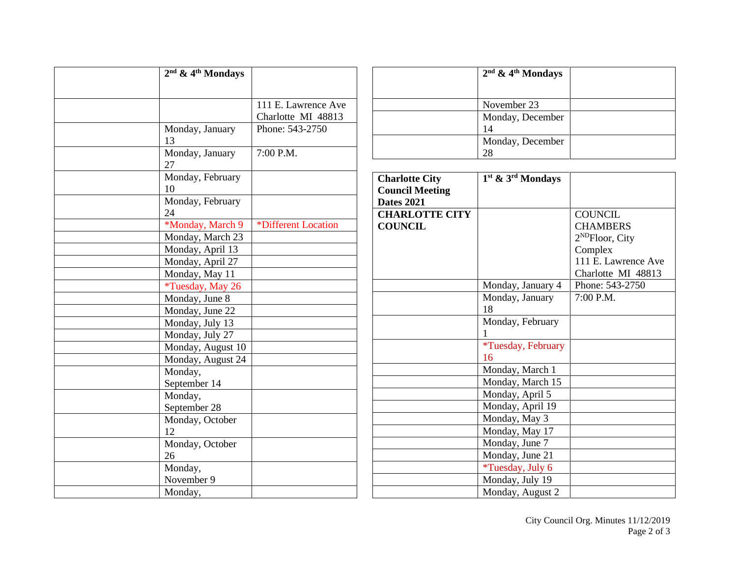| $2nd$ & 4 <sup>th</sup> Mondays |                     |
|---------------------------------|---------------------|
|                                 |                     |
|                                 | 111 E. Lawrence Ave |
|                                 | Charlotte MI 48813  |
| Monday, January                 | Phone: 543-2750     |
| 13                              |                     |
| Monday, January                 | 7:00 P.M.           |
| 27                              |                     |
| Monday, February                |                     |
| 10                              |                     |
| Monday, February                |                     |
| 24                              |                     |
| *Monday, March 9                | *Different Location |
| Monday, March 23                |                     |
| Monday, April 13                |                     |
| Monday, April 27                |                     |
| Monday, May 11                  |                     |
| *Tuesday, May 26                |                     |
| Monday, June 8                  |                     |
| Monday, June 22                 |                     |
| Monday, July 13                 |                     |
| Monday, July 27                 |                     |
| Monday, August 10               |                     |
| Monday, August 24               |                     |
| Monday,                         |                     |
| September 14                    |                     |
| Monday,                         |                     |
| September 28                    |                     |
| Monday, October                 |                     |
| 12                              |                     |
| Monday, October                 |                     |
| 26                              |                     |
| Monday,                         |                     |
| November 9                      |                     |
| Monday,                         |                     |

| $2nd$ & 4 <sup>th</sup> Mondays |  |
|---------------------------------|--|
| November 23                     |  |
| Monday, December<br>14          |  |
| Monday, December<br>28          |  |

| <b>Charlotte City</b>  | 1 <sup>st</sup> & 3 <sup>rd</sup> Mondays |                             |
|------------------------|-------------------------------------------|-----------------------------|
|                        |                                           |                             |
| <b>Council Meeting</b> |                                           |                             |
| <b>Dates 2021</b>      |                                           |                             |
| <b>CHARLOTTE CITY</b>  |                                           | <b>COUNCIL</b>              |
| <b>COUNCIL</b>         |                                           | <b>CHAMBERS</b>             |
|                        |                                           | 2 <sup>ND</sup> Floor, City |
|                        |                                           | Complex                     |
|                        |                                           | 111 E. Lawrence Ave         |
|                        |                                           | Charlotte MI 48813          |
|                        | Monday, January 4                         | Phone: 543-2750             |
|                        | Monday, January                           | 7:00 P.M.                   |
|                        | 18                                        |                             |
|                        | Monday, February                          |                             |
|                        |                                           |                             |
|                        | <i>*Tuesday</i> , February                |                             |
|                        | 16                                        |                             |
|                        | Monday, March 1                           |                             |
|                        | Monday, March 15                          |                             |
|                        | Monday, April 5                           |                             |
|                        | Monday, April 19                          |                             |
|                        | Monday, May 3                             |                             |
|                        | Monday, May 17                            |                             |
|                        | Monday, June 7                            |                             |
|                        | Monday, June 21                           |                             |
|                        | *Tuesday, July 6                          |                             |
|                        | Monday, July 19                           |                             |
|                        | Monday, August 2                          |                             |